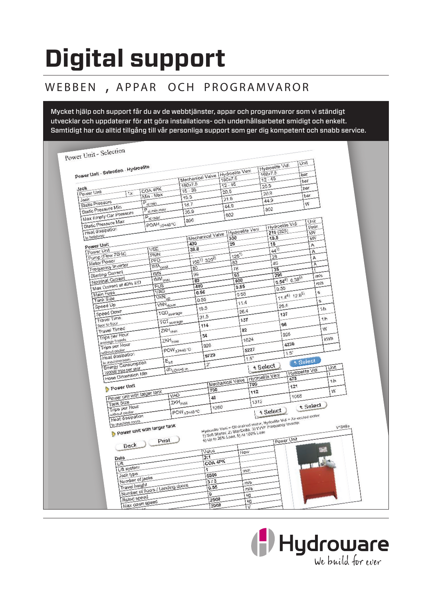# **Digital support**

## WEBBEN, APPAR OCH PROGRAMVAROR

Mycket hjälp och support får du av de webbtjänster, appar och programvaror som vi ständigt utvecklar och uppdaterar för att göra installations- och underhållsarbetet smidigt och enkelt. Samtidigt har du alltid tillgång till vår personliga support som ger dig kompetent och snabb service.

| Power Unit - Selection<br>Power Unit - Selection - Hydroelite |                     |                                  |                         |      |                                                                                                                                       |                 |                        | <b>Hydroelite Vidi</b> |          |                        | Unit         |     |        |  |
|---------------------------------------------------------------|---------------------|----------------------------------|-------------------------|------|---------------------------------------------------------------------------------------------------------------------------------------|-----------------|------------------------|------------------------|----------|------------------------|--------------|-----|--------|--|
|                                                               |                     |                                  |                         |      |                                                                                                                                       | Hydroelite Veni |                        | 160x7.5                |          |                        | bar          |     |        |  |
|                                                               |                     | Mechanical Valve<br>180x7.5      |                         |      | 160x7.5<br>$12 - 45$                                                                                                                  |                 | $12 - 45$              |                        |          | bar                    |              |     |        |  |
| Jack                                                          | COA 4PK             |                                  | $15 - 36$               |      |                                                                                                                                       | 20.5            |                        | 20.5                   |          |                        | bar          |     |        |  |
| Power Unit<br>1x                                              | Min - Max           |                                  |                         | 16.3 |                                                                                                                                       | 21.6            |                        | 20.9                   |          | bar                    |              |     |        |  |
| Jack<br><b>Static Pressure</b>                                | $P_{\text{st.}min}$ |                                  |                         | 18.7 |                                                                                                                                       | 44.9            |                        | 44.9                   |          |                        | W            |     |        |  |
| Static Pressure Min                                           |                     | P <sub>st.min.max</sub>          |                         |      |                                                                                                                                       |                 |                        | 802                    |          |                        |              |     |        |  |
| Max Empty Car Pressure                                        | $P_{\text{st.max}}$ |                                  | 35.6                    |      |                                                                                                                                       | 802             |                        |                        |          |                        |              |     |        |  |
| Static Pressure Max                                           |                     | POAH <sub>AT=40</sub> °C         | 896                     |      |                                                                                                                                       |                 |                        |                        |          | <b>Hydroelite Vidi</b> | Unit<br>Vmin |     |        |  |
| <b>Heat dissipation</b>                                       |                     |                                  |                         |      |                                                                                                                                       |                 | <b>Hydroelite Veni</b> |                        | 210(328) |                        | <b>kW</b>    |     |        |  |
| to hoistway                                                   |                     |                                  |                         |      | Mechanical Valve                                                                                                                      | 330             |                        |                        | 18.5     |                        | <b>KW</b>    |     |        |  |
| Power Unit                                                    |                     |                                  | 430                     |      |                                                                                                                                       | 29              |                        |                        | 15       |                        | A            |     |        |  |
| Power Unit                                                    | VSE<br>PMN          |                                  |                         | 36.8 |                                                                                                                                       |                 |                        |                        | $44^{3}$ |                        | A            |     |        |  |
| Pump (Flow 70Hz)                                              | PFO                 |                                  |                         |      | 1601) 3202)                                                                                                                           | $126^{1}$       |                        |                        |          | 29                     |              | Α   |        |  |
| Motor Power<br>Frequency Inverter                             |                     | IMA <sub>peak</sub>              |                         | 80   |                                                                                                                                       | 63              |                        |                        | 40       |                        | A            |     |        |  |
| <b>Starting Current</b>                                       | <b>IMN</b>          |                                  |                         | 99   |                                                                                                                                       | 78              |                        |                        | 35       |                        |              |     |        |  |
| Nominal Current                                               |                     | IMM <sub>max</sub>               |                         | 80   |                                                                                                                                       | 63<br>400       |                        |                        | 290      | $0.54^{4}$ 0.395)      |              | m/s |        |  |
| Max Current at 40% ED                                         |                     | FUS                              |                         | 440  |                                                                                                                                       | 0.55            |                        |                        | 0.55     |                        |              | m/s |        |  |
| Main Fuse                                                     |                     | VAG                              |                         | 0.56 |                                                                                                                                       |                 | 0.55                   |                        |          |                        |              | s   |        |  |
| Tank Size                                                     |                     | VKN <sub>up</sub>                |                         | 0.56 |                                                                                                                                       |                 |                        |                        |          | $11.4^{4}$ $12.6^{5}$  |              | s   |        |  |
| Speed Up                                                      |                     | VKN down                         |                         |      | 16.5                                                                                                                                  |                 | 11.4                   |                        | 26.4     |                        |              | 1/h |        |  |
| Speed Down                                                    |                     | TQD <sub>average</sub>           |                         |      |                                                                                                                                       |                 | 26.4                   |                        |          | 137                    |              |     |        |  |
| <b>Travel Time</b>                                            |                     | TQT average                      |                         |      | 31.5                                                                                                                                  |                 | 137                    |                        |          |                        |              | 1/h |        |  |
| floor to floor                                                |                     |                                  |                         |      | 114                                                                                                                                   |                 |                        |                        |          | 96                     |              | W   |        |  |
| <b>Travel Timed</b><br>Trips per Hour                         |                     | ZKH <sub>max</sub>               |                         |      | 34                                                                                                                                    |                 | 82                     |                        |          | 928                    |              |     |        |  |
| average travels                                               |                     | ZKH <sub>max</sub>               |                         |      |                                                                                                                                       |                 | 1024                   |                        |          |                        |              | kWh |        |  |
| Trips per Hour                                                |                     | POW <sub>AT=40</sub> °C          |                         |      | 928                                                                                                                                   |                 | 5227                   |                        |          | 4236                   |              |     |        |  |
| without cooler<br>Heat dissipation                            |                     |                                  |                         |      | 9729                                                                                                                                  |                 |                        |                        |          | 1.5"                   |              |     |        |  |
| to machineroom                                                |                     | $E_{\text{tot}}$                 |                         |      |                                                                                                                                       |                 | 1.5"                   |                        |          |                        | t Select     |     |        |  |
| Energy Consumption                                            |                     | dh <sub>LOH=6</sub> m            |                         |      | 2 <sup>n</sup>                                                                                                                        |                 |                        | t Select               |          |                        |              |     | Unit   |  |
| 100000 trips per year<br>Hose Dimension Min                   |                     |                                  |                         |      |                                                                                                                                       |                 |                        | Hydroelite Veni        |          | <b>Hydroelite Vidi</b> |              |     |        |  |
|                                                               |                     |                                  |                         |      | Mechanical Valve                                                                                                                      |                 | 700                    |                        |          | 475                    |              |     | 1/h    |  |
| Power Unit                                                    |                     |                                  |                         |      | 700                                                                                                                                   |                 |                        |                        |          | 121                    |              |     | W      |  |
| Power unit with larger tank                                   |                     | VAG                              |                         |      | 46                                                                                                                                    |                 |                        | 112                    |          | 1088                   |              |     |        |  |
| Tank Size                                                     |                     | ZKH <sub>max</sub>               |                         |      |                                                                                                                                       |                 |                        | 1312                   |          |                        |              |     |        |  |
| Trips per Hour                                                |                     |                                  | POW <sub>AT=40</sub> °C |      | 1280                                                                                                                                  |                 |                        | t Select               |          |                        | t Select     |     |        |  |
| without cooler<br><b>Heat dissipation</b>                     |                     |                                  |                         |      |                                                                                                                                       |                 |                        |                        |          |                        |              |     |        |  |
| to machine room                                               |                     |                                  |                         |      |                                                                                                                                       |                 |                        |                        |          |                        |              |     |        |  |
| Power unit with larger tank                                   |                     |                                  |                         |      | Hydroelite Veni = Oil-drained motor, Hydoelite Vidi = Air-cooled motor<br>19 Soft Starter, 2) Star/Delta, 3) VVVF Frequency Inverter. |                 |                        |                        |          |                        |              |     | V1346a |  |
|                                                               |                     |                                  |                         |      | 4) Up to 25% Load, 5) At 100% Load                                                                                                    |                 |                        |                        |          | Power Unit             |              |     |        |  |
| Back )                                                        |                     | Print                            |                         |      |                                                                                                                                       |                 |                        |                        |          |                        |              |     |        |  |
|                                                               |                     |                                  |                         |      | Value                                                                                                                                 |                 | New                    |                        |          |                        |              |     |        |  |
| Data                                                          |                     |                                  |                         |      | 2:1                                                                                                                                   |                 |                        |                        |          |                        |              |     |        |  |
| Lift                                                          |                     |                                  |                         |      | COA 4PK                                                                                                                               |                 |                        |                        |          |                        |              |     |        |  |
| Lift system                                                   |                     |                                  |                         |      | 1                                                                                                                                     |                 | mm                     |                        |          |                        |              |     |        |  |
| Jack type<br>Number of jacks                                  |                     |                                  |                         |      | 5500                                                                                                                                  |                 |                        |                        |          |                        |              |     |        |  |
| Travel height                                                 |                     |                                  |                         |      | 313<br>0.55                                                                                                                           |                 | m/s                    |                        |          |                        |              |     |        |  |
|                                                               |                     | Number of floors / Landing doors |                         |      | 0                                                                                                                                     |                 | m/s                    |                        |          |                        |              |     |        |  |
| Rated speed                                                   |                     |                                  |                         |      | 2500                                                                                                                                  |                 | kg<br>kg               |                        |          |                        |              |     |        |  |
| Max down speed                                                |                     |                                  |                         |      | 2000                                                                                                                                  |                 |                        |                        |          |                        |              |     |        |  |